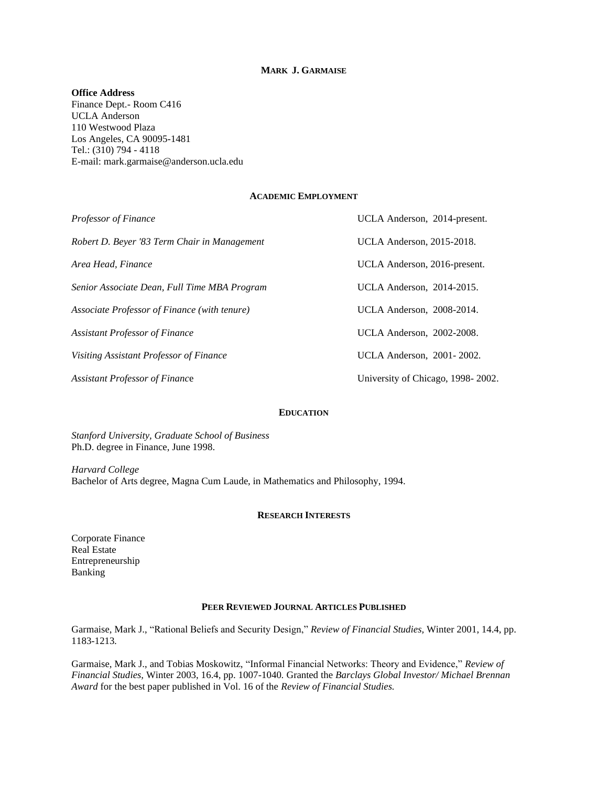## **MARK J. GARMAISE**

## **Office Address**

Finance Dept.- Room C416 UCLA Anderson 110 Westwood Plaza Los Angeles, CA 90095-1481 Tel.: (310) 794 - 4118 E-mail: mark.garmaise@anderson.ucla.edu

## **ACADEMIC EMPLOYMENT**

| <b>Professor of Finance</b>                  | UCLA Anderson, 2014-present.      |
|----------------------------------------------|-----------------------------------|
| Robert D. Beyer '83 Term Chair in Management | <b>UCLA Anderson</b> , 2015-2018. |
| Area Head, Finance                           | UCLA Anderson, 2016-present.      |
| Senior Associate Dean, Full Time MBA Program | UCLA Anderson, 2014-2015.         |
| Associate Professor of Finance (with tenure) | UCLA Anderson, 2008-2014.         |
| <b>Assistant Professor of Finance</b>        | UCLA Anderson, 2002-2008.         |
| Visiting Assistant Professor of Finance      | UCLA Anderson, 2001-2002.         |
| <b>Assistant Professor of Finance</b>        | University of Chicago, 1998-2002. |

## **EDUCATION**

*Stanford University, Graduate School of Business* Ph.D. degree in Finance, June 1998.

*Harvard College* Bachelor of Arts degree, Magna Cum Laude, in Mathematics and Philosophy, 1994.

### **RESEARCH INTERESTS**

Corporate Finance Real Estate Entrepreneurship Banking

#### **PEER REVIEWED JOURNAL ARTICLES PUBLISHED**

Garmaise, Mark J., "Rational Beliefs and Security Design," *Review of Financial Studies,* Winter 2001, 14.4, pp. 1183-1213*.*

Garmaise, Mark J., and Tobias Moskowitz, "Informal Financial Networks: Theory and Evidence," *Review of Financial Studies,* Winter 2003, 16.4, pp. 1007-1040*.* Granted the *Barclays Global Investor/ Michael Brennan Award* for the best paper published in Vol. 16 of the *Review of Financial Studies.*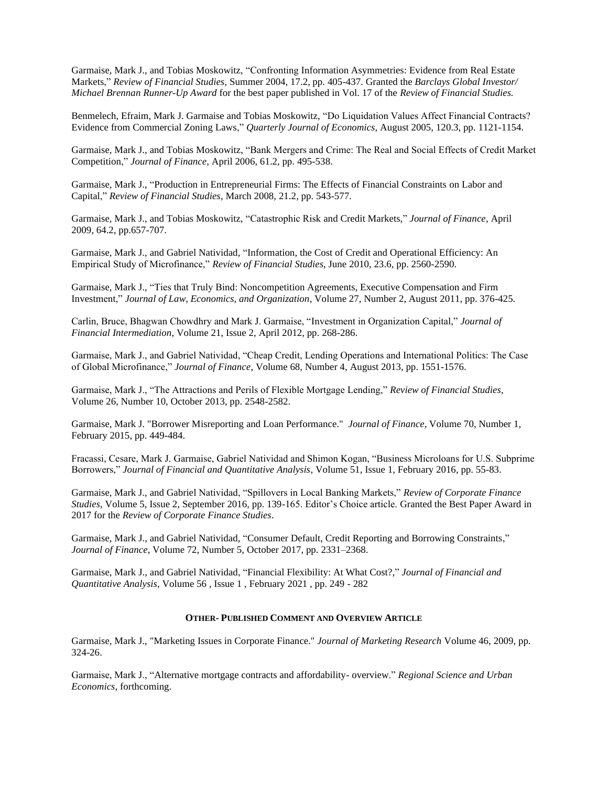Garmaise, Mark J., and Tobias Moskowitz, "Confronting Information Asymmetries: Evidence from Real Estate Markets," *Review of Financial Studies,* Summer 2004, 17.2, pp. 405-437*.* Granted the *Barclays Global Investor/ Michael Brennan Runner-Up Award* for the best paper published in Vol. 17 of the *Review of Financial Studies.*

Benmelech, Efraim, Mark J. Garmaise and Tobias Moskowitz, "Do Liquidation Values Affect Financial Contracts? Evidence from Commercial Zoning Laws," *Quarterly Journal of Economics*, August 2005, 120.3, pp. 1121-1154.

Garmaise, Mark J., and Tobias Moskowitz, "Bank Mergers and Crime: The Real and Social Effects of Credit Market Competition," *Journal of Finance*, April 2006, 61.2, pp. 495-538.

Garmaise, Mark J., "Production in Entrepreneurial Firms: The Effects of Financial Constraints on Labor and Capital," *Review of Financial Studies*, March 2008, 21.2, pp. 543-577.

Garmaise, Mark J., and Tobias Moskowitz, "Catastrophic Risk and Credit Markets," *Journal of Finance*, April 2009, 64.2, pp.657-707.

Garmaise, Mark J., and Gabriel Natividad, "Information, the Cost of Credit and Operational Efficiency: An Empirical Study of Microfinance," *Review of Financial Studies*, June 2010, 23.6, pp. 2560-2590.

Garmaise, Mark J., "Ties that Truly Bind: Noncompetition Agreements, Executive Compensation and Firm Investment," *Journal of Law, Economics, and Organization*, Volume 27, Number 2, August 2011, pp. 376-425.

Carlin, Bruce, Bhagwan Chowdhry and Mark J. Garmaise, "Investment in Organization Capital," *Journal of Financial Intermediation*, Volume 21, Issue 2, April 2012, pp. 268-286.

Garmaise, Mark J., and Gabriel Natividad, "Cheap Credit, Lending Operations and International Politics: The Case of Global Microfinance," *Journal of Finance*, Volume 68, Number 4, August 2013, pp. 1551-1576.

Garmaise, Mark J., "The Attractions and Perils of Flexible Mortgage Lending," *Review of Financial Studies*, Volume 26, Number 10, October 2013, pp. 2548-2582.

Garmaise, Mark J. "Borrower Misreporting and Loan Performance." *Journal of Finance*, Volume 70, Number 1, February 2015, pp. 449-484.

Fracassi, Cesare, Mark J. Garmaise, Gabriel Natividad and Shimon Kogan, "Business Microloans for U.S. Subprime Borrowers," *Journal of Financial and Quantitative Analysis*, Volume 51, Issue 1, February 2016, pp. 55-83.

Garmaise, Mark J., and Gabriel Natividad, "Spillovers in Local Banking Markets," *Review of Corporate Finance Studies*, Volume 5, Issue 2, September 2016, pp. 139-165. Editor's Choice article. Granted the Best Paper Award in 2017 for the *Review of Corporate Finance Studies*.

Garmaise, Mark J., and Gabriel Natividad, "Consumer Default, Credit Reporting and Borrowing Constraints," *Journal of Finance*, Volume 72, Number 5, October 2017, pp. 2331–2368.

Garmaise, Mark J., and Gabriel Natividad, "Financial Flexibility: At What Cost?," *Journal of Financial and Quantitative Analysis*, Volume 56 , Issue 1 , February 2021 , pp. 249 - 282

#### **OTHER- PUBLISHED COMMENT AND OVERVIEW ARTICLE**

Garmaise, Mark J., "Marketing Issues in Corporate Finance." *Journal of Marketing Research* Volume 46, 2009, pp. 324-26.

Garmaise, Mark J., "Alternative mortgage contracts and affordability- overview." *Regional Science and Urban Economics*, forthcoming.